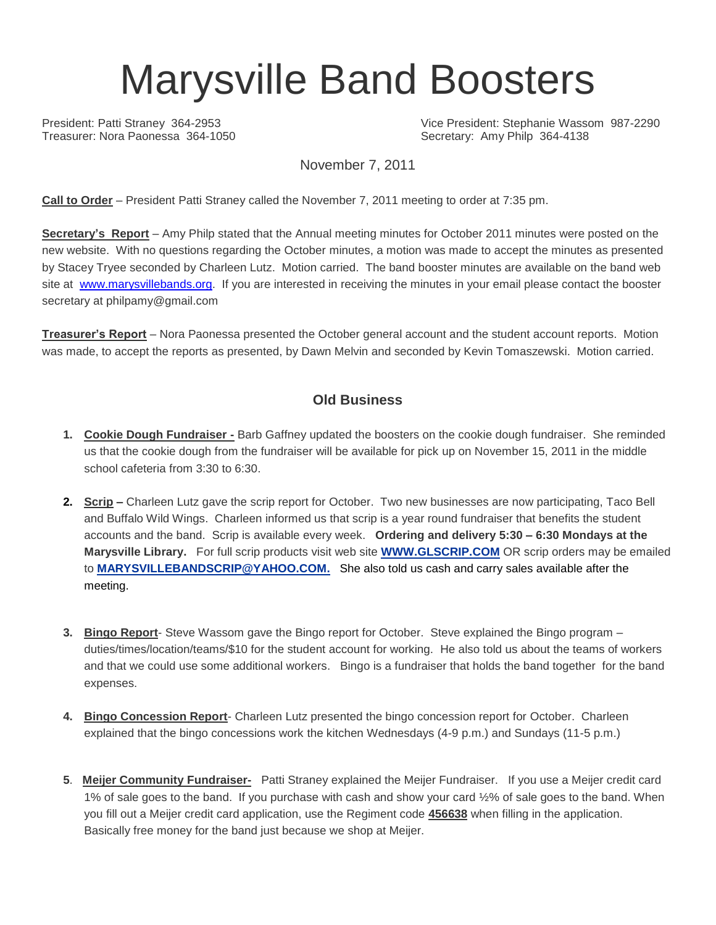# Marysville Band Boosters

Treasurer: Nora Paonessa 364-1050 Secretary: Amy Philp 364-4138

President: Patti Straney 364-2953 Vice President: Stephanie Wassom 987-2290

November 7, 2011

**Call to Order** – President Patti Straney called the November 7, 2011 meeting to order at 7:35 pm.

**Secretary's Report** – Amy Philp stated that the Annual meeting minutes for October 2011 minutes were posted on the new website. With no questions regarding the October minutes, a motion was made to accept the minutes as presented by Stacey Tryee seconded by Charleen Lutz. Motion carried. The band booster minutes are available on the band web site at [www.marysvillebands.org.](http://www.marysvillebands.org/) If you are interested in receiving the minutes in your email please contact the booster secretary at philpamy@gmail.com

**Treasurer's Report** – Nora Paonessa presented the October general account and the student account reports. Motion was made, to accept the reports as presented, by Dawn Melvin and seconded by Kevin Tomaszewski. Motion carried.

### **Old Business**

- **1. Cookie Dough Fundraiser -** Barb Gaffney updated the boosters on the cookie dough fundraiser. She reminded us that the cookie dough from the fundraiser will be available for pick up on November 15, 2011 in the middle school cafeteria from 3:30 to 6:30.
- **2. Scrip –** Charleen Lutz gave the scrip report for October. Two new businesses are now participating, Taco Bell and Buffalo Wild Wings. Charleen informed us that scrip is a year round fundraiser that benefits the student accounts and the band. Scrip is available every week. **Ordering and delivery 5:30 – 6:30 Mondays at the Marysville Library.** For full scrip products visit web site **[WWW.GLSCRIP.COM](http://www.glscrip.com/%20/%20_blank)** OR scrip orders may be emailed to **[MARYSVILLEBANDSCRIP@YAHOO.COM.](http://us.f838.mail.yahoo.com/ym/Compose?To=MARYSVILLEBANDSCRIP@YAHOO.COM%20/%20_blank)** She also told us cash and carry sales available after the meeting.
- **3. Bingo Report** Steve Wassom gave the Bingo report for October. Steve explained the Bingo program duties/times/location/teams/\$10 for the student account for working. He also told us about the teams of workers and that we could use some additional workers. Bingo is a fundraiser that holds the band together for the band expenses.
- **4. Bingo Concession Report** Charleen Lutz presented the bingo concession report for October. Charleen explained that the bingo concessions work the kitchen Wednesdays (4-9 p.m.) and Sundays (11-5 p.m.)
- **5**. **Meijer Community Fundraiser-** Patti Straney explained the Meijer Fundraiser. If you use a Meijer credit card 1% of sale goes to the band. If you purchase with cash and show your card ½% of sale goes to the band. When you fill out a Meijer credit card application, use the Regiment code **456638** when filling in the application. Basically free money for the band just because we shop at Meijer.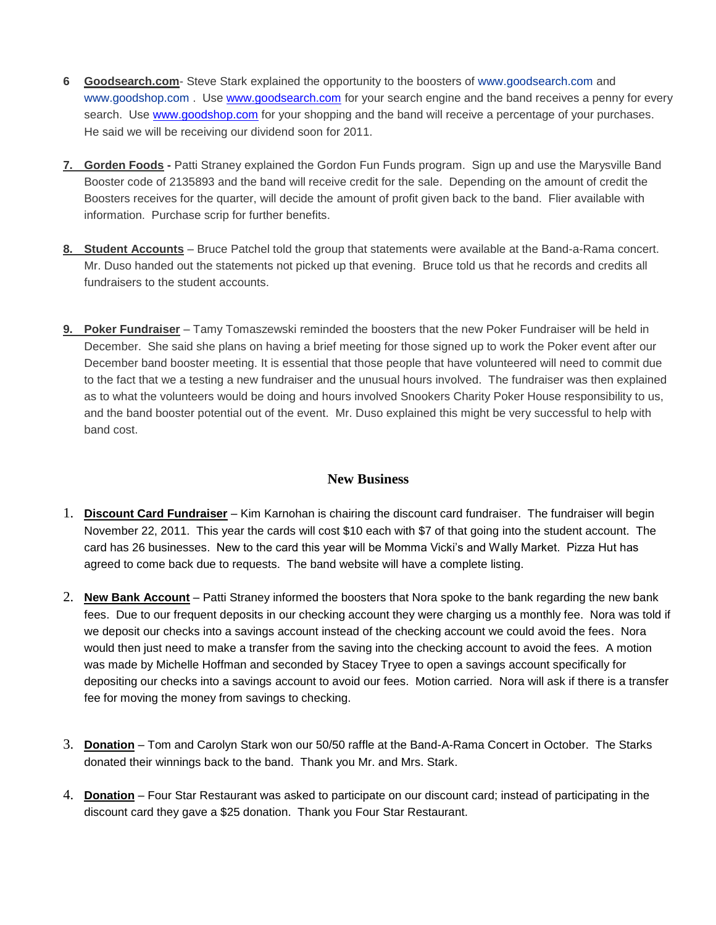- **6 Goodsearch.com** Steve Stark explained the opportunity to the boosters of [www.goodsearch.com](http://www.goodsearch.com/) and [www.goodshop.com](http://www.goodshop.com/) . Use [www.goodsearch.com](http://www.goodsearch.com/) for your search engine and the band receives a penny for every search. Use [www.goodshop.com](http://www.goodshop.com/) for your shopping and the band will receive a percentage of your purchases. He said we will be receiving our dividend soon for 2011.
- **7. Gorden Foods -** Patti Straney explained the Gordon Fun Funds program. Sign up and use the Marysville Band Booster code of 2135893 and the band will receive credit for the sale. Depending on the amount of credit the Boosters receives for the quarter, will decide the amount of profit given back to the band. Flier available with information. Purchase scrip for further benefits.
- **8. Student Accounts** Bruce Patchel told the group that statements were available at the Band-a-Rama concert. Mr. Duso handed out the statements not picked up that evening. Bruce told us that he records and credits all fundraisers to the student accounts.
- **9. Poker Fundraiser** Tamy Tomaszewski reminded the boosters that the new Poker Fundraiser will be held in December. She said she plans on having a brief meeting for those signed up to work the Poker event after our December band booster meeting. It is essential that those people that have volunteered will need to commit due to the fact that we a testing a new fundraiser and the unusual hours involved. The fundraiser was then explained as to what the volunteers would be doing and hours involved Snookers Charity Poker House responsibility to us, and the band booster potential out of the event. Mr. Duso explained this might be very successful to help with band cost.

#### **New Business**

- 1. **Discount Card Fundraiser** Kim Karnohan is chairing the discount card fundraiser. The fundraiser will begin November 22, 2011. This year the cards will cost \$10 each with \$7 of that going into the student account. The card has 26 businesses. New to the card this year will be Momma Vicki's and Wally Market. Pizza Hut has agreed to come back due to requests. The band website will have a complete listing.
- 2. **New Bank Account** Patti Straney informed the boosters that Nora spoke to the bank regarding the new bank fees. Due to our frequent deposits in our checking account they were charging us a monthly fee. Nora was told if we deposit our checks into a savings account instead of the checking account we could avoid the fees. Nora would then just need to make a transfer from the saving into the checking account to avoid the fees. A motion was made by Michelle Hoffman and seconded by Stacey Tryee to open a savings account specifically for depositing our checks into a savings account to avoid our fees. Motion carried. Nora will ask if there is a transfer fee for moving the money from savings to checking.
- 3. **Donation** Tom and Carolyn Stark won our 50/50 raffle at the Band-A-Rama Concert in October. The Starks donated their winnings back to the band. Thank you Mr. and Mrs. Stark.
- 4. **Donation** Four Star Restaurant was asked to participate on our discount card; instead of participating in the discount card they gave a \$25 donation. Thank you Four Star Restaurant.